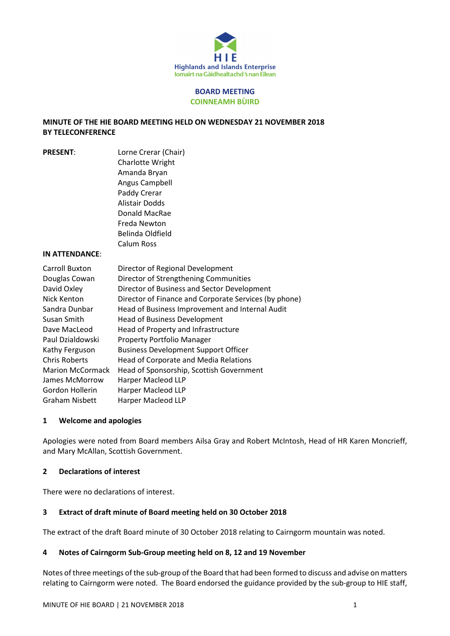

#### BOARD MEETING COINNEAMH BÙIRD

## MINUTE OF THE HIE BOARD MEETING HELD ON WEDNESDAY 21 NOVEMBER 2018 BY TELECONFERENCE

| <b>PRESENT:</b> | Lorne Crerar (Chair)                                  |
|-----------------|-------------------------------------------------------|
|                 | Charlotte Wright                                      |
|                 | Amanda Bryan                                          |
|                 | Angus Campbell                                        |
|                 | Paddy Crerar                                          |
|                 | Alistair Dodds                                        |
|                 | Donald MacRae                                         |
|                 | Freda Newton                                          |
|                 | Belinda Oldfield                                      |
|                 | Calum Ross                                            |
| IN ATTENDANCE:  |                                                       |
| Carroll Buxton  | Director of Regional Development                      |
| Douglas Cowan   | Director of Strengthening Communities                 |
| David Oxley     | Director of Business and Sector Development           |
| Nick Kenton     | Director of Finance and Corporate Services (by phone) |
| Sandra Dunbar   | Head of Business Improvement and Internal Audit       |
| Susan Smith     | <b>Head of Business Development</b>                   |
|                 |                                                       |

# nternal Audit Dave MacLeod Head of Property and Infrastructure Paul Dzialdowski Property Portfolio Manager Kathy Ferguson Business Development Support Officer Chris Roberts Head of Corporate and Media Relations Marion McCormack Head of Sponsorship, Scottish Government James McMorrow Harper Macleod LLP Gordon Hollerin Harper Macleod LLP Graham Nisbett Harper Macleod LLP

### 1 Welcome and apologies

Apologies were noted from Board members Ailsa Gray and Robert McIntosh, Head of HR Karen Moncrieff, and Mary McAllan, Scottish Government.

## 2 Declarations of interest

There were no declarations of interest.

## 3 Extract of draft minute of Board meeting held on 30 October 2018

The extract of the draft Board minute of 30 October 2018 relating to Cairngorm mountain was noted.

## 4 Notes of Cairngorm Sub-Group meeting held on 8, 12 and 19 November

Notes of three meetings of the sub-group of the Board that had been formed to discuss and advise on matters relating to Cairngorm were noted. The Board endorsed the guidance provided by the sub-group to HIE staff,